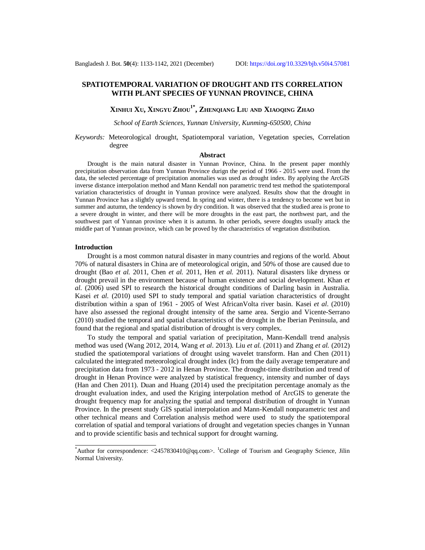# **SPATIOTEMPORAL VARIATION OF DROUGHT AND ITS CORRELATION WITH PLANT SPECIES OF YUNNAN PROVINCE, CHINA**

# **XINHUI XU, XINGYU ZHOU1\* , ZHENQIANG LIU AND XIAOQING ZHAO**

*School of Earth Sciences, Yunnan University, Kunming-650500, China*

*Keywords:* Meteorological drought, Spatiotemporal variation, Vegetation species, Correlation degree

# **Abstract**

Drought is the main natural disaster in Yunnan Province, China. In the present paper monthly precipitation observation data from Yunnan Province durign the period of 1966 - 2015 were used. From the data, the selected percentage of precipitation anomalies was used as drought index. By applying the ArcGIS inverse distance interpolation method and Mann Kendall non parametric trend test method the spatiotemporal variation characteristics of drought in Yunnan province were analyzed. Results show that the drought in Yunnan Province has a slightly upward trend. In spring and winter, there is a tendency to become wet but in summer and autumn, the tendency is shown by dry condition. It was observed that the studied area is prone to a severe drought in winter, and there will be more droughts in the east part, the northwest part, and the southwest part of Yunnan province when it is autumn. In other periods, severe doughts usually attack the middle part of Yunnan province, which can be proved by the characteristics of vegetation distribution.

# **Introduction**

Drought is a most common natural disaster in many countries and regions of the world. About 70% of natural disasters in China are of meteorological origin, and 50% of those are caused due to drought (Bao *et al.* 2011, Chen *et al.* 2011, Hen *et al.* 2011). Natural disasters like dryness or drought prevail in the environment because of human existence and social development. Khan *et al.* (2006) used SPI to research the historical drought conditions of Darling basin in Australia. Kasei *et al.* (2010) used SPI to study temporal and spatial variation characteristics of drought distribution within a span of 1961 - 2005 of West AfricanVolta river basin. Kasei *et al*. (2010) have also assessed the regional drought intensity of the same area. Sergio and Vicente-Serrano (2010) studied the temporal and spatial characteristics of the drought in the Iberian Peninsula, and found that the regional and spatial distribution of drought is very complex.

To study the temporal and spatial variation of precipitation, Mann-Kendall trend analysis method was used (Wang 2012, 2014, Wang *et al*. 2013). Liu *et al.* (2011) and Zhang *et al.* (2012) studied the spatiotemporal variations of drought using wavelet transform. Han and Chen (2011) calculated the integrated meteorological drought index (Ic) from the daily average temperature and precipitation data from 1973 - 2012 in Henan Province. The drought-time distribution and trend of drought in Henan Province were analyzed by statistical frequency, intensity and number of days (Han and Chen 2011). Duan and Huang (2014) used the precipitation percentage anomaly as the drought evaluation index, and used the Kriging interpolation method of ArcGIS to generate the drought frequency map for analyzing the spatial and temporal distribution of drought in Yunnan Province. In the present study GIS spatial interpolation and Mann-Kendall nonparametric test and other technical means and Correlation analysis method were used to study the spatiotemporal correlation of spatial and temporal variations of drought and vegetation species changes in Yunnan and to provide scientific basis and technical support for drought warning.

<sup>\*</sup>Author for correspondence:  $\langle 2457830410@qq.com\rangle$ .  $^1$ College of Tourism and Geography Science, Jilin Normal University.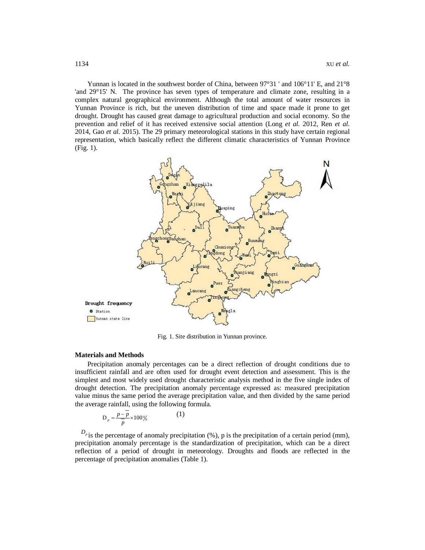Yunnan is located in the southwest border of China, between 97°31 ' and 106°11' E, and 21°8 'and 29°15' N. The province has seven types of temperature and climate zone, resulting in a complex natural geographical environment. Although the total amount of water resources in Yunnan Province is rich, but the uneven distribution of time and space made it prone to get drought. Drought has caused great damage to agricultural production and social economy. So the prevention and relief of it has received extensive social attention (Long *et al.* 2012, Ren *et al.* 2014, Gao *et al.* 2015). The 29 primary meteorological stations in this study have certain regional representation, which basically reflect the different climatic characteristics of Yunnan Province (Fig. 1).



Fig. 1. Site distribution in Yunnan province.

#### **Materials and Methods**

Precipitation anomaly percentages can be a direct reflection of drought conditions due to insufficient rainfall and are often used for drought event detection and assessment. This is the simplest and most widely used drought characteristic analysis method in the five single index of drought detection. The precipitation anomaly percentage expressed as: measured precipitation value minus the same period the average precipitation value, and then divided by the same period the average rainfall, using the following formula.

$$
D_p = \frac{p - \overline{p}}{\overline{p}} \times 100\%
$$
 (1)

 $D_p$  is the percentage of anomaly precipitation (%), p is the precipitation of a certain period (mm), precipitation anomaly percentage is the standardization of precipitation, which can be a direct reflection of a period of drought in meteorology. Droughts and floods are reflected in the percentage of precipitation anomalies (Table 1).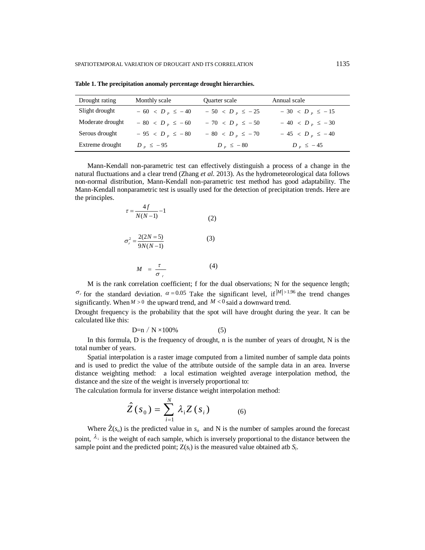| Drought rating   | Monthly scale         | Quarter scale         | Annual scale          |
|------------------|-----------------------|-----------------------|-----------------------|
| Slight drought   | $-60 < D_{p} \le -40$ | $-50 < D_{p} \le -25$ | $-30 < D_{p} \le -15$ |
| Moderate drought | $-80 < D_{p} \le -60$ | $-70 < D_{p} \le -50$ | $-40 < D_{p} \le -30$ |
| Serous drought   | $-95 < Dp \le -80$    | $-80 < D_{p} \le -70$ | $-45 < Dp \le -40$    |
| Extreme drought  | $D_{\nu} \leq -95$    | $D_{\nu} \leq -80$    | $D_{\nu} \leq -45$    |

**Table 1. The precipitation anomaly percentage drought hierarchies.**

Mann-Kendall non-parametric test can effectively distinguish a process of a change in the natural fluctuations and a clear trend (Zhang *et al*. 2013). As the hydrometeorological data follows non-normal distribution, Mann-Kendall non-parametric test method has good adaptability. The Mann-Kendall nonparametric test is usually used for the detection of precipitation trends. Here are the principles.

$$
\tau = \frac{4f}{N(N-1)} - 1
$$
\n(2)\n
$$
\sigma_r^2 = \frac{2(2N-5)}{9N(N-1)}
$$
\n(3)\n
$$
M = \frac{\tau}{\sigma_r}
$$
\n(4)

M is the rank correlation coefficient; f for the dual observations; N for the sequence length;  $\sigma$ <sub>r</sub> for the standard deviation.  $\alpha$  = 0.05 Take the significant level, if  $|M|>1.96$  the trend changes significantly. When  $M > 0$  the upward trend, and  $M < 0$  said a downward trend.

Drought frequency is the probability that the spot will have drought during the year. It can be calculated like this:

$$
D=n / N \times 100\% \tag{5}
$$

In this formula, D is the frequency of drought, n is the number of years of drought, N is the total number of years.

Spatial interpolation is a raster image computed from a limited number of sample data points and is used to predict the value of the attribute outside of the sample data in an area. Inverse distance weighting method: a local estimation weighted average interpolation method, the distance and the size of the weight is inversely proportional to:

The calculation formula for inverse distance weight interpolation method:

$$
\hat{Z}(s_0) = \sum_{i=1}^{N} \lambda_i Z(s_i)
$$
 (6)

Where  $\hat{Z}(s_o)$  is the predicted value in  $s_o$  and N is the number of samples around the forecast point,  $\lambda_i$  is the weight of each sample, which is inversely proportional to the distance between the sample point and the predicted point;  $Z(s_i)$  is the measured value obtained atb  $S_i$ .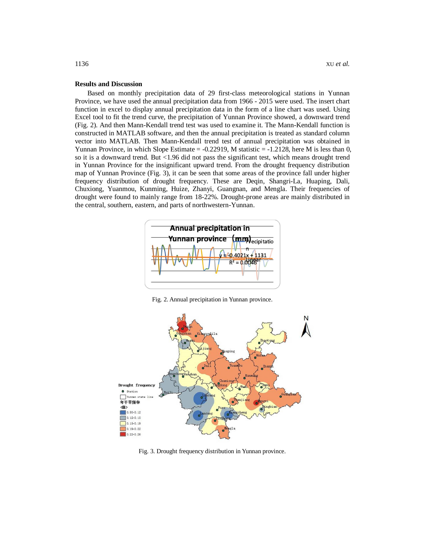# **Results and Discussion**

Based on monthly precipitation data of 29 first-class meteorological stations in Yunnan Province, we have used the annual precipitation data from 1966 - 2015 were used. The insert chart function in excel to display annual precipitation data in the form of a line chart was used. Using Excel tool to fit the trend curve, the precipitation of Yunnan Province showed, a downward trend (Fig. 2). And then Mann-Kendall trend test was used to examine it. The Mann-Kendall function is constructed in MATLAB software, and then the annual precipitation is treated as standard column vector into MATLAB. Then Mann-Kendall trend test of annual precipitation was obtained in Yunnan Province, in which Slope Estimate  $= -0.22919$ , M statistic  $= -1.2128$ , here M is less than 0, so it is a downward trend. But <1.96 did not pass the significant test, which means drought trend in Yunnan Province for the insignificant upward trend. From the drought frequency distribution map of Yunnan Province (Fig. 3), it can be seen that some areas of the province fall under higher frequency distribution of drought frequency. These are Deqin, Shangri-La, Huaping, Dali, Chuxiong, Yuanmou, Kunming, Huize, Zhanyi, Guangnan, and Mengla. Their frequencies of drought were found to mainly range from 18-22%. Drought-prone areas are mainly distributed in the central, southern, eastern, and parts of northwestern-Yunnan.



Fig. 2. Annual precipitation in Yunnan province.



Fig. 3. Drought frequency distribution in Yunnan province.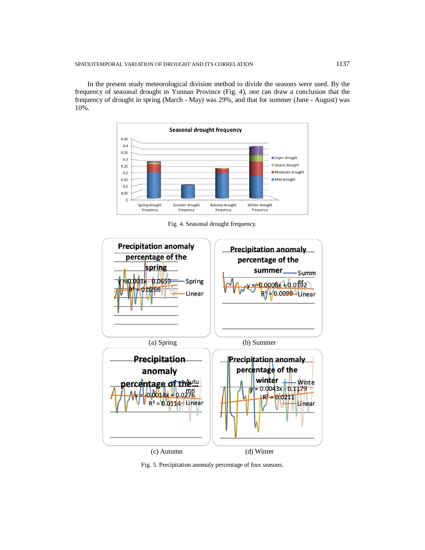In the present study meteorological division method to divide the seasons were used. By the frequency of seasonal drought in Yunnan Province (Fig. 4), one can draw a conclusion that the frequency of drought in spring (March - May) was 29%, and that for summer (June - August) was 10%.



Fig. 4. Seasonal drought frequency.



Fig. 5. Precipitation anomaly percentage of four seasons.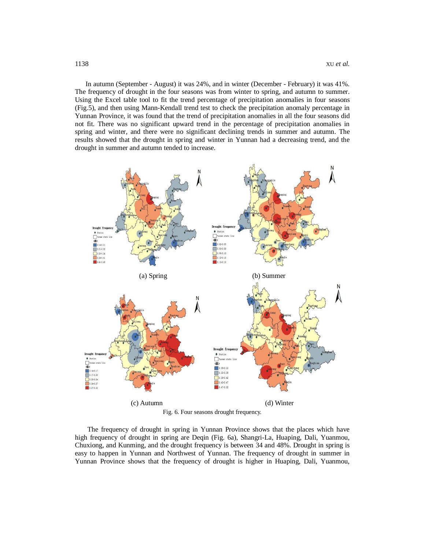In autumn (September - August) it was 24%, and in winter (December - February) it was 41%. The frequency of drought in the four seasons was from winter to spring, and autumn to summer. Using the Excel table tool to fit the trend percentage of precipitation anomalies in four seasons (Fig.5), and then using Mann-Kendall trend test to check the precipitation anomaly percentage in Yunnan Province, it was found that the trend of precipitation anomalies in all the four seasons did not fit. There was no significant upward trend in the percentage of precipitation anomalies in spring and winter, and there were no significant declining trends in summer and autumn. The results showed that the drought in spring and winter in Yunnan had a decreasing trend, and the drought in summer and autumn tended to increase.



Fig. 6. Four seasons drought frequency.

The frequency of drought in spring in Yunnan Province shows that the places which have high frequency of drought in spring are Deqin (Fig. 6a), Shangri-La, Huaping, Dali, Yuanmou, Chuxiong, and Kunming, and the drought frequency is between 34 and 48%. Drought in spring is easy to happen in Yunnan and Northwest of Yunnan. The frequency of drought in summer in Yunnan Province shows that the frequency of drought is higher in Huaping, Dali, Yuanmou,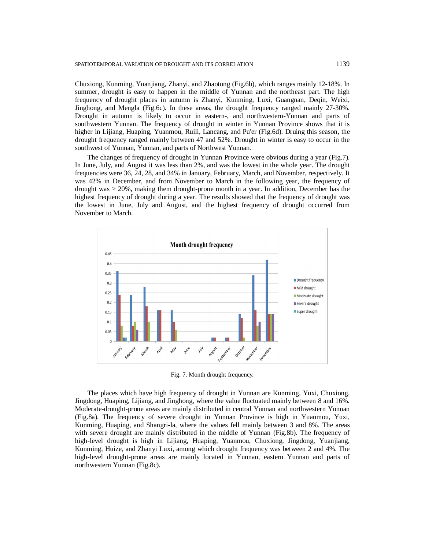Chuxiong, Kunming, Yuanjiang, Zhanyi, and Zhaotong (Fig.6b), which ranges mainly 12-18%. In summer, drought is easy to happen in the middle of Yunnan and the northeast part. The high frequency of drought places in autumn is Zhanyi, Kunming, Luxi, Guangnan, Deqin, Weixi, Jinghong, and Mengla (Fig.6c). In these areas, the drought frequency ranged mainly 27-30%. Drought in autumn is likely to occur in eastern-, and northwestern-Yunnan and parts of southwestern Yunnan. The frequency of drought in winter in Yunnan Province shows that it is higher in Lijiang, Huaping, Yuanmou, Ruili, Lancang, and Pu'er (Fig.6d). Druing this season, the drought frequency ranged mainly between 47 and 52%. Drought in winter is easy to occur in the southwest of Yunnan, Yunnan, and parts of Northwest Yunnan.

The changes of frequency of drought in Yunnan Province were obvious during a year (Fig.7). In June, July, and August it was less than 2%, and was the lowest in the whole year. The drought frequencies were 36, 24, 28, and 34% in January, February, March, and November, respectively. It was 42% in December, and from November to March in the following year, the frequency of drought was > 20%, making them drought-prone month in a year. In addition, December has the highest frequency of drought during a year. The results showed that the frequency of drought was the lowest in June, July and August, and the highest frequency of drought occurred from November to March.



Fig. 7. Month drought frequency.

The places which have high frequency of drought in Yunnan are Kunming, Yuxi, Chuxiong, Jingdong, Huaping, Lijiang, and Jinghong, where the value fluctuated mainly between 8 and 16%. Moderate-drought-prone areas are mainly distributed in central Yunnan and northwestern Yunnan (Fig.8a). The frequency of severe drought in Yunnan Province is high in Yuanmou, Yuxi, Kunming, Huaping, and Shangri-la, where the values fell mainly between 3 and 8%. The areas with severe drought are mainly distributed in the middle of Yunnan (Fig.8b). The frequency of high-level drought is high in Lijiang, Huaping, Yuanmou, Chuxiong, Jingdong, Yuanjiang, Kunming, Huize, and Zhanyi Luxi, among which drought frequency was between 2 and 4%. The high-level drought-prone areas are mainly located in Yunnan, eastern Yunnan and parts of northwestern Yunnan (Fig.8c).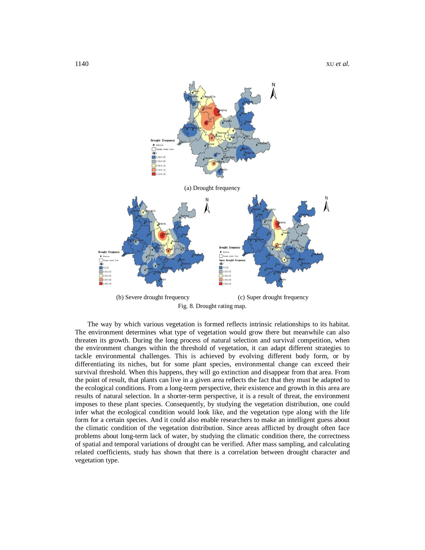

(b) Severe drought frequency (c) Super drought frequency Fig. 8. Drought rating map.

The way by which various vegetation is formed reflects intrinsic relationships to its habitat. The environment determines what type of vegetation would grow there but meanwhile can also threaten its growth. During the long process of natural selection and survival competition, when the environment changes within the threshold of vegetation, it can adapt different strategies to tackle environmental challenges. This is achieved by evolving different body form, or by differentiating its niches, but for some plant species, environmental change can exceed their survival threshold. When this happens, they will go extinction and disappear from that area. From the point of result, that plants can live in a given area reflects the fact that they must be adapted to the ecological conditions. From a long-term perspective, their existence and growth in this area are results of natural selection. In a shorter-term perspective, it is a result of threat, the environment imposes to these plant species. Consequently, by studying the vegetation distribution, one could infer what the ecological condition would look like, and the vegetation type along with the life form for a certain species. And it could also enable researchers to make an intelligent guess about the climatic condition of the vegetation distribution. Since areas afflicted by drought often face problems about long-term lack of water, by studying the climatic condition there, the correctness of spatial and temporal variations of drought can be verified. After mass sampling, and calculating related coefficients, study has shown that there is a correlation between drought character and vegetation type.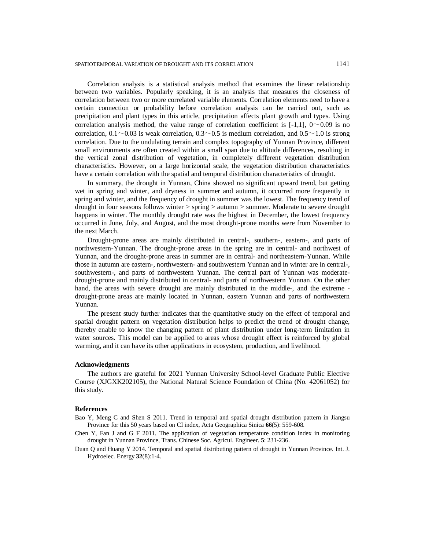Correlation analysis is a statistical analysis method that examines the linear relationship between two variables. Popularly speaking, it is an analysis that measures the closeness of correlation between two or more correlated variable elements. Correlation elements need to have a certain connection or probability before correlation analysis can be carried out, such as precipitation and plant types in this article, precipitation affects plant growth and types. Using correlation analysis method, the value range of correlation coefficient is  $[-1,1]$ ,  $0 \sim 0.09$  is no correlation,  $0.1 \sim 0.03$  is weak correlation,  $0.3 \sim 0.5$  is medium correlation, and  $0.5 \sim 1.0$  is strong correlation. Due to the undulating terrain and complex topography of Yunnan Province, different small environments are often created within a small span due to altitude differences, resulting in the vertical zonal distribution of vegetation, in completely different vegetation distribution characteristics. However, on a large horizontal scale, the vegetation distribution characteristics have a certain correlation with the spatial and temporal distribution characteristics of drought.

In summary, the drought in Yunnan, China showed no significant upward trend, but getting wet in spring and winter, and dryness in summer and autumn, it occurred more frequently in spring and winter, and the frequency of drought in summer was the lowest. The frequency trend of drought in four seasons follows winter  $>$  spring  $>$  autumn  $>$  summer. Moderate to severe drought happens in winter. The monthly drought rate was the highest in December, the lowest frequency occurred in June, July, and August, and the most drought-prone months were from November to the next March.

Drought-prone areas are mainly distributed in central-, southern-, eastern-, and parts of northwestern-Yunnan. The drought-prone areas in the spring are in central- and northwest of Yunnan, and the drought-prone areas in summer are in central- and northeastern-Yunnan. While those in autumn are eastern-, northwestern- and southwestern Yunnan and in winter are in central-, southwestern-, and parts of northwestern Yunnan. The central part of Yunnan was moderatedrought-prone and mainly distributed in central- and parts of northwestern Yunnan. On the other hand, the areas with severe drought are mainly distributed in the middle-, and the extreme drought-prone areas are mainly located in Yunnan, eastern Yunnan and parts of northwestern Yunnan.

The present study further indicates that the quantitative study on the effect of temporal and spatial drought pattern on vegetation distribution helps to predict the trend of drought change, thereby enable to know the changing pattern of plant distribution under long-term limitation in water sources. This model can be applied to areas whose drought effect is reinforced by global warming, and it can have its other applications in ecosystem, production, and livelihood.

## **Acknowledgments**

The authors are grateful for 2021 Yunnan University School-level Graduate Public Elective Course (XJGXK202105), the National Natural Science Foundation of China (No. 42061052) for this study.

# **References**

- Bao Y, Meng C and Shen S 2011. Trend in temporal and spatial drought distribution pattern in Jiangsu Province for this 50 years based on CI index, Acta Geographica Sinica **66**(5): 559-608.
- Chen Y, Fan J and G F 2011. The application of vegetation temperature condition index in monitoring drought in Yunnan Province, Trans. Chinese Soc. Agricul. Engineer. **5**: 231-236.
- Duan Q and Huang Y 2014. Temporal and spatial distributing pattern of drought in Yunnan Province. Int. J. Hydroelec. Energy **32**(8):1-4.